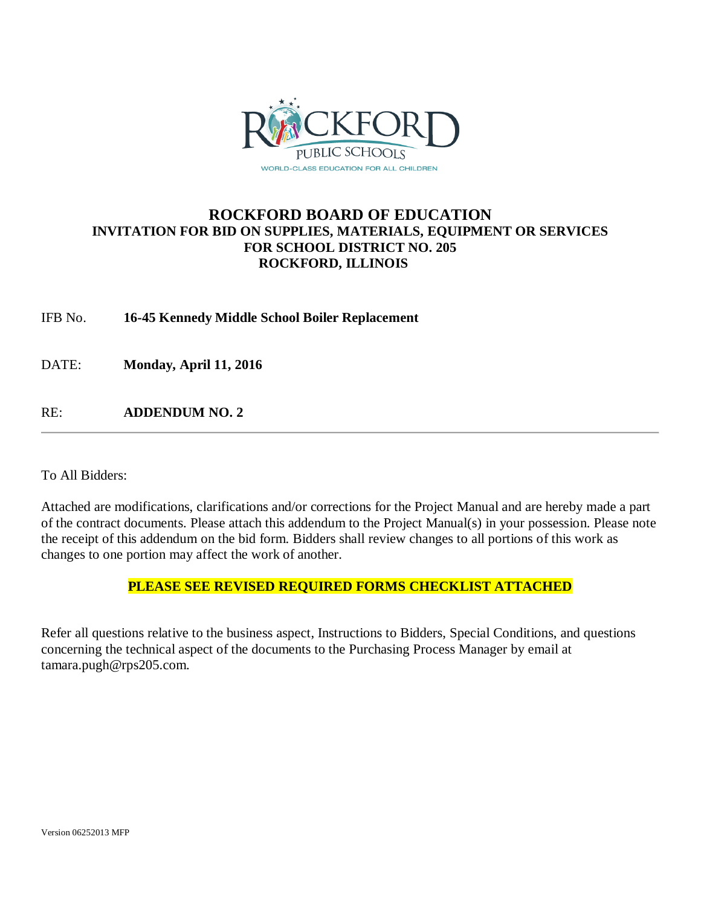

# **ROCKFORD BOARD OF EDUCATION INVITATION FOR BID ON SUPPLIES, MATERIALS, EQUIPMENT OR SERVICES FOR SCHOOL DISTRICT NO. 205 ROCKFORD, ILLINOIS**

IFB No. **16-45 Kennedy Middle School Boiler Replacement**

DATE: **Monday, April 11, 2016**

RE: **ADDENDUM NO. 2**

To All Bidders:

Attached are modifications, clarifications and/or corrections for the Project Manual and are hereby made a part of the contract documents. Please attach this addendum to the Project Manual(s) in your possession. Please note the receipt of this addendum on the bid form. Bidders shall review changes to all portions of this work as changes to one portion may affect the work of another.

## **PLEASE SEE REVISED REQUIRED FORMS CHECKLIST ATTACHED**

Refer all questions relative to the business aspect, Instructions to Bidders, Special Conditions, and questions concerning the technical aspect of the documents to the Purchasing Process Manager by email at tamara.pugh@rps205.com.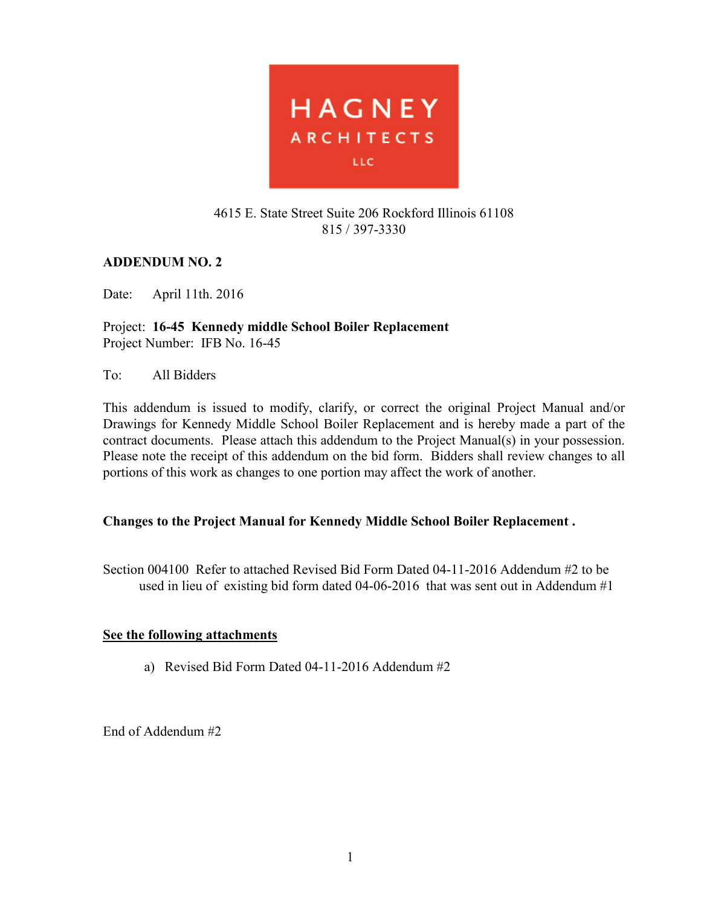

## 4615 E. State Street Suite 206 Rockford Illinois 61108 815 / 397-3330

# **ADDENDUM NO. 2**

Date: April 11th. 2016

Project: **16-45 Kennedy middle School Boiler Replacement**  Project Number: IFB No. 16-45

To: All Bidders

This addendum is issued to modify, clarify, or correct the original Project Manual and/or Drawings for Kennedy Middle School Boiler Replacement and is hereby made a part of the contract documents. Please attach this addendum to the Project Manual(s) in your possession. Please note the receipt of this addendum on the bid form. Bidders shall review changes to all portions of this work as changes to one portion may affect the work of another.

## **Changes to the Project Manual for Kennedy Middle School Boiler Replacement .**

Section 004100 Refer to attached Revised Bid Form Dated 04-11-2016 Addendum #2 to be used in lieu of existing bid form dated 04-06-2016 that was sent out in Addendum #1

## **See the following attachments**

a) Revised Bid Form Dated 04-11-2016 Addendum #2

End of Addendum #2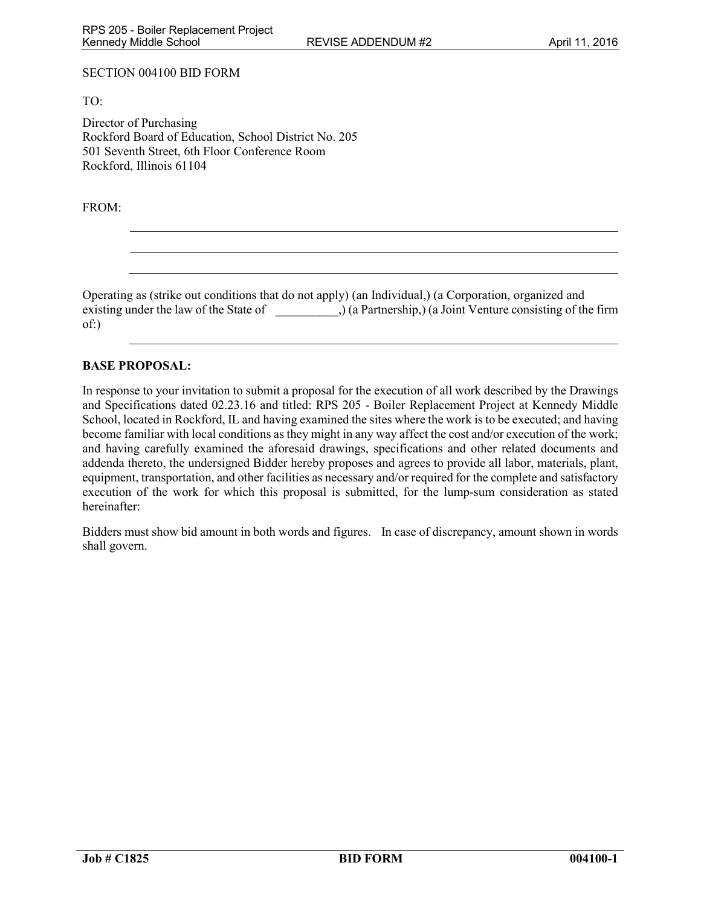#### SECTION 004100 BID FORM

TO:

Director of Purchasing Rockford Board of Education, School District No. 205 501 Seventh Street, 6th Floor Conference Room Rockford, Illinois 61104

FROM:

Operating as (strike out conditions that do not apply) (an Individual,) (a Corporation, organized and existing under the law of the State of  $\qquad$   $)$  (a Partnership,) (a Joint Venture consisting of the firm of:)

#### **BASE PROPOSAL:**

In response to your invitation to submit a proposal for the execution of all work described by the Drawings and Specifications dated 02.23.16 and titled: RPS 205 - Boiler Replacement Project at Kennedy Middle School, located in Rockford, IL and having examined the sites where the work is to be executed; and having become familiar with local conditions as they might in any way affect the cost and/or execution of the work; and having carefully examined the aforesaid drawings, specifications and other related documents and addenda thereto, the undersigned Bidder hereby proposes and agrees to provide all labor, materials, plant, equipment, transportation, and other facilities as necessary and/or required for the complete and satisfactory execution of the work for which this proposal is submitted, for the lump-sum consideration as stated hereinafter:

Bidders must show bid amount in both words and figures. In case of discrepancy, amount shown in words shall govern.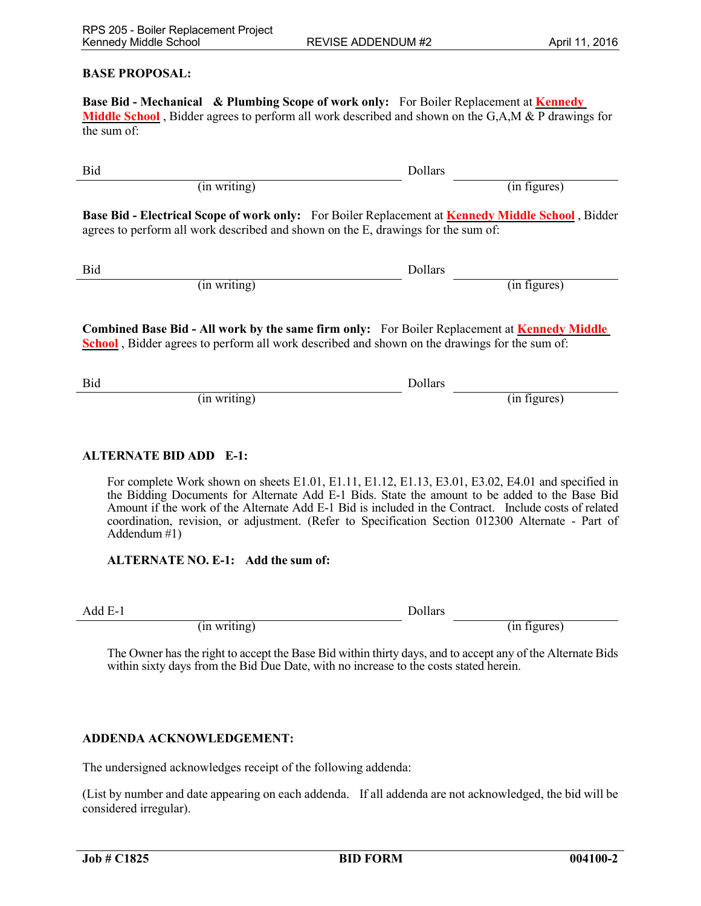#### **BASE PROPOSAL:**

**Base Bid - Mechanical & Plumbing Scope of work only:** For Boiler Replacement at **Kennedy Middle School** , Bidder agrees to perform all work described and shown on the G,A,M & P drawings for the sum of:

Bid Dollars (in writing) (in figures) **Base Bid - Electrical Scope of work only:** For Boiler Replacement at **Kennedy Middle School** , Bidder agrees to perform all work described and shown on the E, drawings for the sum of:

Bid Dollars

(in writing) (in section of the section of the section of the section of the section of the section of the section of the section of the section of the section of the section of the section of the section of the section of

## **Combined Base Bid - All work by the same firm only:** For Boiler Replacement at **Kennedy Middle School** , Bidder agrees to perform all work described and shown on the drawings for the sum of:

Bid Dollars  $(in writing)$ 

#### **ALTERNATE BID ADD E-1:**

For complete Work shown on sheets E1.01, E1.11, E1.12, E1.13, E3.01, E3.02, E4.01 and specified in the Bidding Documents for Alternate Add E-1 Bids. State the amount to be added to the Base Bid Amount if the work of the Alternate Add E-1 Bid is included in the Contract. Include costs of related coordination, revision, or adjustment. (Refer to Specification Section 012300 Alternate - Part of Addendum  $\#1$ )

#### **ALTERNATE NO. E-1: Add the sum of:**

Add E-1 Dollars

(in writing) (in figures)

 The Owner has the right to accept the Base Bid within thirty days, and to accept any of the Alternate Bids within sixty days from the Bid Due Date, with no increase to the costs stated herein.

### **ADDENDA ACKNOWLEDGEMENT:**

The undersigned acknowledges receipt of the following addenda:

(List by number and date appearing on each addenda. If all addenda are not acknowledged, the bid will be considered irregular).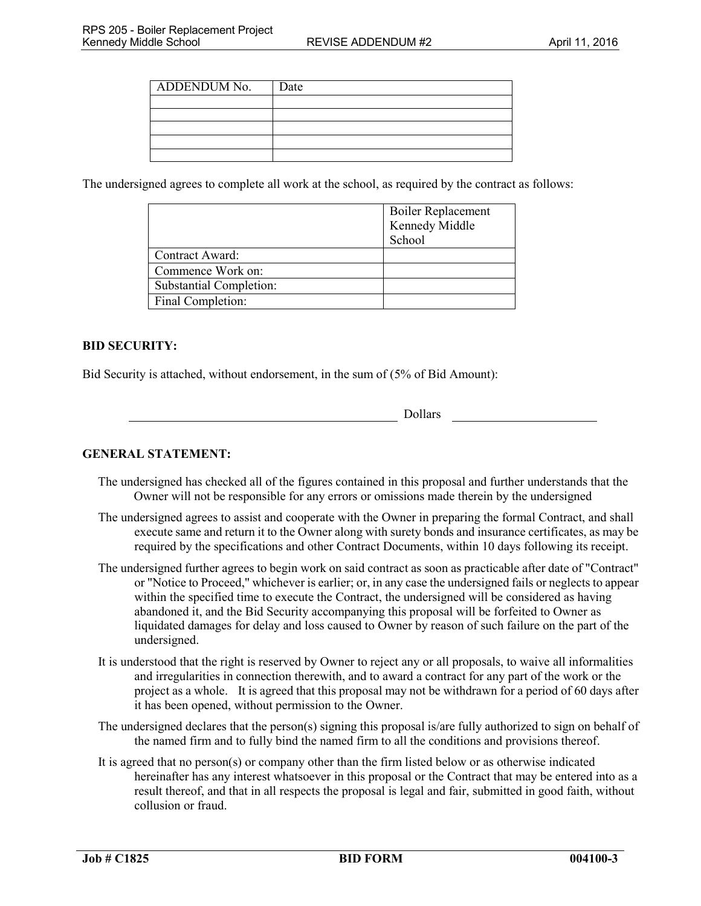| <b>ADDENDUM No.</b> | Date |
|---------------------|------|
|                     |      |
|                     |      |
|                     |      |
|                     |      |
|                     |      |

The undersigned agrees to complete all work at the school, as required by the contract as follows:

|                                | <b>Boiler Replacement</b> |
|--------------------------------|---------------------------|
|                                | Kennedy Middle            |
|                                | School                    |
| Contract Award:                |                           |
| Commence Work on:              |                           |
| <b>Substantial Completion:</b> |                           |
| Final Completion:              |                           |

### **BID SECURITY:**

Bid Security is attached, without endorsement, in the sum of (5% of Bid Amount):

| lars |
|------|
|------|

### **GENERAL STATEMENT:**

The undersigned has checked all of the figures contained in this proposal and further understands that the Owner will not be responsible for any errors or omissions made therein by the undersigned

Dol

- The undersigned agrees to assist and cooperate with the Owner in preparing the formal Contract, and shall execute same and return it to the Owner along with surety bonds and insurance certificates, as may be required by the specifications and other Contract Documents, within 10 days following its receipt.
- The undersigned further agrees to begin work on said contract as soon as practicable after date of "Contract" or "Notice to Proceed," whichever is earlier; or, in any case the undersigned fails or neglects to appear within the specified time to execute the Contract, the undersigned will be considered as having abandoned it, and the Bid Security accompanying this proposal will be forfeited to Owner as liquidated damages for delay and loss caused to Owner by reason of such failure on the part of the undersigned.
- It is understood that the right is reserved by Owner to reject any or all proposals, to waive all informalities and irregularities in connection therewith, and to award a contract for any part of the work or the project as a whole. It is agreed that this proposal may not be withdrawn for a period of 60 days after it has been opened, without permission to the Owner.
- The undersigned declares that the person(s) signing this proposal is/are fully authorized to sign on behalf of the named firm and to fully bind the named firm to all the conditions and provisions thereof.
- It is agreed that no person(s) or company other than the firm listed below or as otherwise indicated hereinafter has any interest whatsoever in this proposal or the Contract that may be entered into as a result thereof, and that in all respects the proposal is legal and fair, submitted in good faith, without collusion or fraud.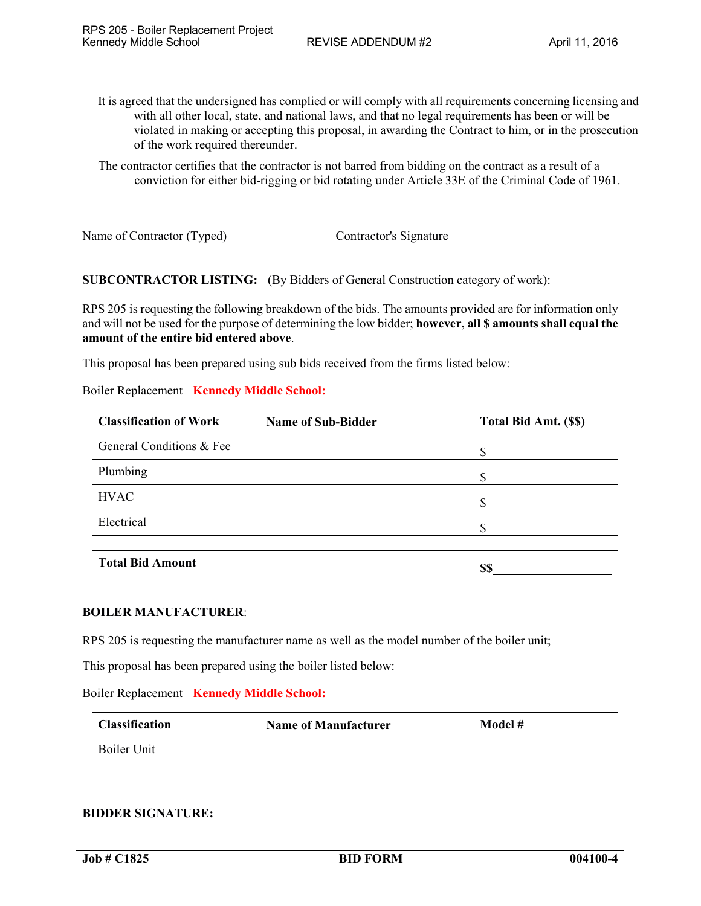- It is agreed that the undersigned has complied or will comply with all requirements concerning licensing and with all other local, state, and national laws, and that no legal requirements has been or will be violated in making or accepting this proposal, in awarding the Contract to him, or in the prosecution of the work required thereunder.
- The contractor certifies that the contractor is not barred from bidding on the contract as a result of a conviction for either bid-rigging or bid rotating under Article 33E of the Criminal Code of 1961.

Name of Contractor (Typed) Contractor's Signature

**SUBCONTRACTOR LISTING:** (By Bidders of General Construction category of work):

RPS 205 is requesting the following breakdown of the bids. The amounts provided are for information only and will not be used for the purpose of determining the low bidder; **however, all \$ amounts shall equal the amount of the entire bid entered above**.

This proposal has been prepared using sub bids received from the firms listed below:

| Boiler Replacement Kennedy Middle School: |  |
|-------------------------------------------|--|
|                                           |  |

| <b>Classification of Work</b> | <b>Name of Sub-Bidder</b> | Total Bid Amt. (\$\$) |
|-------------------------------|---------------------------|-----------------------|
| General Conditions & Fee      |                           | \$                    |
| Plumbing                      |                           | Ф                     |
| <b>HVAC</b>                   |                           | \$                    |
| Electrical                    |                           | ¢                     |
|                               |                           |                       |
| <b>Total Bid Amount</b>       |                           | \$\$                  |

### **BOILER MANUFACTURER**:

RPS 205 is requesting the manufacturer name as well as the model number of the boiler unit;

This proposal has been prepared using the boiler listed below:

#### Boiler Replacement **Kennedy Middle School:**

| <b>Classification</b> | <b>Name of Manufacturer</b> | Model # |
|-----------------------|-----------------------------|---------|
| <b>Boiler Unit</b>    |                             |         |

### **BIDDER SIGNATURE:**